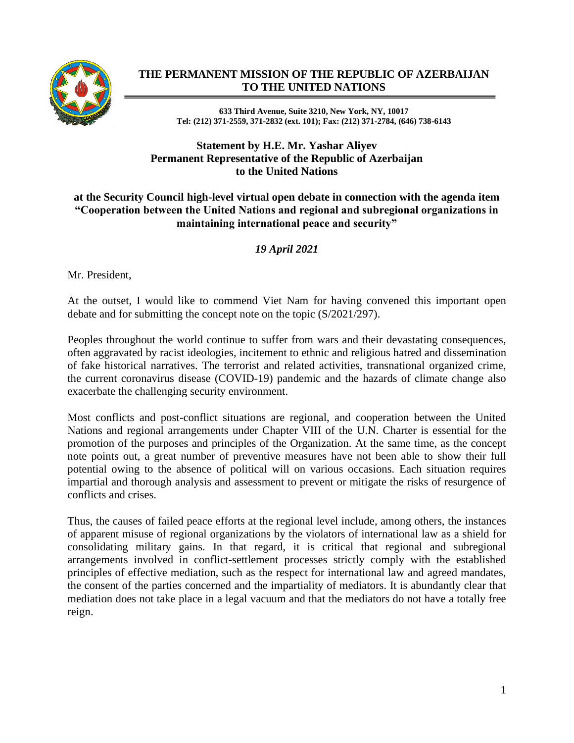

## **THE PERMANENT MISSION OF THE REPUBLIC OF AZERBAIJAN TO THE UNITED NATIONS**

**633 Third Avenue, Suite 3210, New York, NY, 10017 Tel: (212) 371-2559, 371-2832 (ext. 101); Fax: (212) 371-2784, (646) 738-6143**

## **Statement by H.E. Mr. Yashar Aliyev Permanent Representative of the Republic of Azerbaijan to the United Nations**

## **at the Security Council high-level virtual open debate in connection with the agenda item "Cooperation between the United Nations and regional and subregional organizations in maintaining international peace and security"**

## *19 April 2021*

Mr. President,

At the outset, I would like to commend Viet Nam for having convened this important open debate and for submitting the concept note on the topic (S/2021/297).

Peoples throughout the world continue to suffer from wars and their devastating consequences, often aggravated by racist ideologies, incitement to ethnic and religious hatred and dissemination of fake historical narratives. The terrorist and related activities, transnational organized crime, the current coronavirus disease (COVID-19) pandemic and the hazards of climate change also exacerbate the challenging security environment.

Most conflicts and post-conflict situations are regional, and cooperation between the United Nations and regional arrangements under Chapter VIII of the U.N. Charter is essential for the promotion of the purposes and principles of the Organization. At the same time, as the concept note points out, a great number of preventive measures have not been able to show their full potential owing to the absence of political will on various occasions. Each situation requires impartial and thorough analysis and assessment to prevent or mitigate the risks of resurgence of conflicts and crises.

Thus, the causes of failed peace efforts at the regional level include, among others, the instances of apparent misuse of regional organizations by the violators of international law as a shield for consolidating military gains. In that regard, it is critical that regional and subregional arrangements involved in conflict-settlement processes strictly comply with the established principles of effective mediation, such as the respect for international law and agreed mandates, the consent of the parties concerned and the impartiality of mediators. It is abundantly clear that mediation does not take place in a legal vacuum and that the mediators do not have a totally free reign.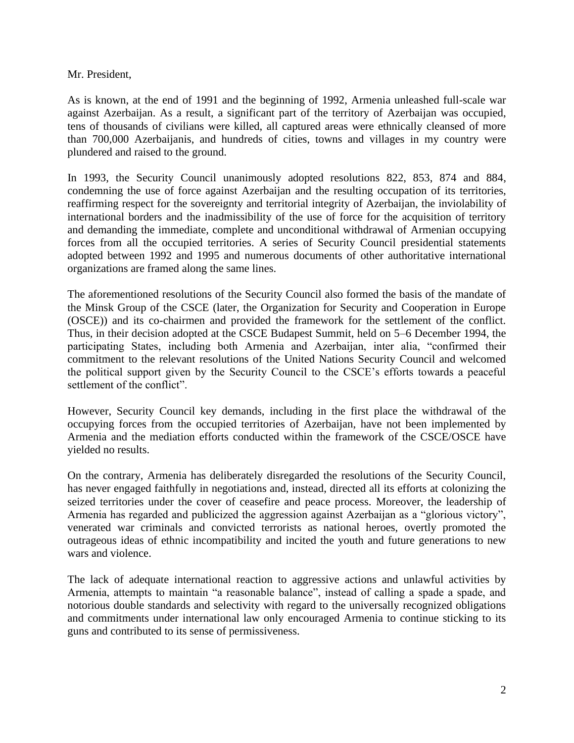Mr. President,

As is known, at the end of 1991 and the beginning of 1992, Armenia unleashed full-scale war against Azerbaijan. As a result, a significant part of the territory of Azerbaijan was occupied, tens of thousands of civilians were killed, all captured areas were ethnically cleansed of more than 700,000 Azerbaijanis, and hundreds of cities, towns and villages in my country were plundered and raised to the ground.

In 1993, the Security Council unanimously adopted resolutions 822, 853, 874 and 884, condemning the use of force against Azerbaijan and the resulting occupation of its territories, reaffirming respect for the sovereignty and territorial integrity of Azerbaijan, the inviolability of international borders and the inadmissibility of the use of force for the acquisition of territory and demanding the immediate, complete and unconditional withdrawal of Armenian occupying forces from all the occupied territories. A series of Security Council presidential statements adopted between 1992 and 1995 and numerous documents of other authoritative international organizations are framed along the same lines.

The aforementioned resolutions of the Security Council also formed the basis of the mandate of the Minsk Group of the CSCE (later, the Organization for Security and Cooperation in Europe (OSCE)) and its co-chairmen and provided the framework for the settlement of the conflict. Thus, in their decision adopted at the CSCE Budapest Summit, held on 5–6 December 1994, the participating States, including both Armenia and Azerbaijan, inter alia, "confirmed their commitment to the relevant resolutions of the United Nations Security Council and welcomed the political support given by the Security Council to the CSCE's efforts towards a peaceful settlement of the conflict".

However, Security Council key demands, including in the first place the withdrawal of the occupying forces from the occupied territories of Azerbaijan, have not been implemented by Armenia and the mediation efforts conducted within the framework of the CSCE/OSCE have yielded no results.

On the contrary, Armenia has deliberately disregarded the resolutions of the Security Council, has never engaged faithfully in negotiations and, instead, directed all its efforts at colonizing the seized territories under the cover of ceasefire and peace process. Moreover, the leadership of Armenia has regarded and publicized the aggression against Azerbaijan as a "glorious victory", venerated war criminals and convicted terrorists as national heroes, overtly promoted the outrageous ideas of ethnic incompatibility and incited the youth and future generations to new wars and violence.

The lack of adequate international reaction to aggressive actions and unlawful activities by Armenia, attempts to maintain "a reasonable balance", instead of calling a spade a spade, and notorious double standards and selectivity with regard to the universally recognized obligations and commitments under international law only encouraged Armenia to continue sticking to its guns and contributed to its sense of permissiveness.